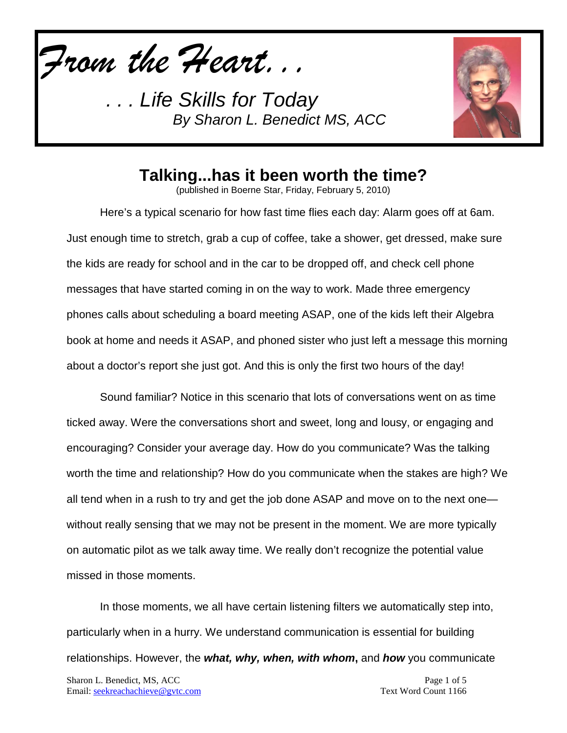*From the Heart...*



## **Talking...has it been worth the time?**

(published in Boerne Star, Friday, February 5, 2010)

Here's a typical scenario for how fast time flies each day: Alarm goes off at 6am. Just enough time to stretch, grab a cup of coffee, take a shower, get dressed, make sure the kids are ready for school and in the car to be dropped off, and check cell phone messages that have started coming in on the way to work. Made three emergency phones calls about scheduling a board meeting ASAP, one of the kids left their Algebra book at home and needs it ASAP, and phoned sister who just left a message this morning about a doctor's report she just got. And this is only the first two hours of the day!

Sound familiar? Notice in this scenario that lots of conversations went on as time ticked away. Were the conversations short and sweet, long and lousy, or engaging and encouraging? Consider your average day. How do you communicate? Was the talking worth the time and relationship? How do you communicate when the stakes are high? We all tend when in a rush to try and get the job done ASAP and move on to the next one without really sensing that we may not be present in the moment. We are more typically on automatic pilot as we talk away time. We really don't recognize the potential value missed in those moments.

In those moments, we all have certain listening filters we automatically step into, particularly when in a hurry. We understand communication is essential for building relationships. However, the *what, why, when, with whom***,** and *how* you communicate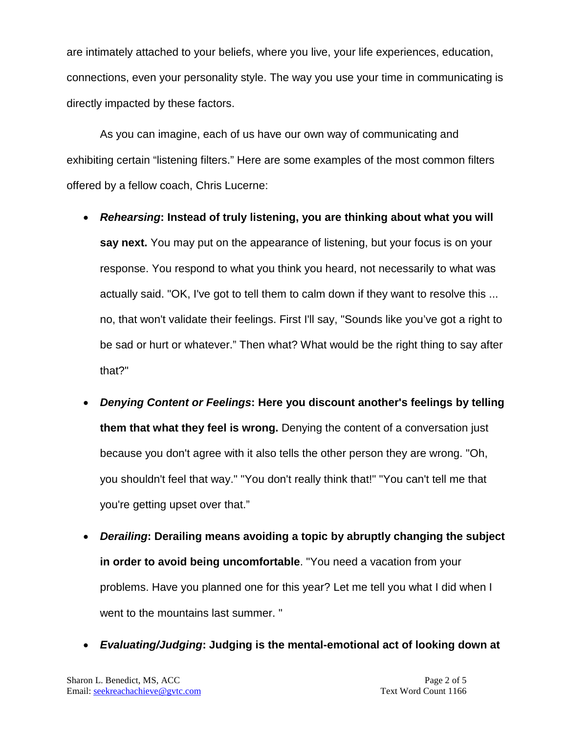are intimately attached to your beliefs, where you live, your life experiences, education, connections, even your personality style. The way you use your time in communicating is directly impacted by these factors.

As you can imagine, each of us have our own way of communicating and exhibiting certain "listening filters." Here are some examples of the most common filters offered by a fellow coach, Chris Lucerne:

- *Rehearsing***: Instead of truly listening, you are thinking about what you will say next.** You may put on the appearance of listening, but your focus is on your response. You respond to what you think you heard, not necessarily to what was actually said. "OK, I've got to tell them to calm down if they want to resolve this ... no, that won't validate their feelings. First I'll say, "Sounds like you've got a right to be sad or hurt or whatever." Then what? What would be the right thing to say after that?"
- *Denying Content or Feelings***: Here you discount another's feelings by telling them that what they feel is wrong.** Denying the content of a conversation just because you don't agree with it also tells the other person they are wrong. "Oh, you shouldn't feel that way." "You don't really think that!" "You can't tell me that you're getting upset over that."
- *Derailing***: Derailing means avoiding a topic by abruptly changing the subject in order to avoid being uncomfortable**. "You need a vacation from your problems. Have you planned one for this year? Let me tell you what I did when I went to the mountains last summer. "
- *Evaluating/Judging***: Judging is the mental-emotional act of looking down at**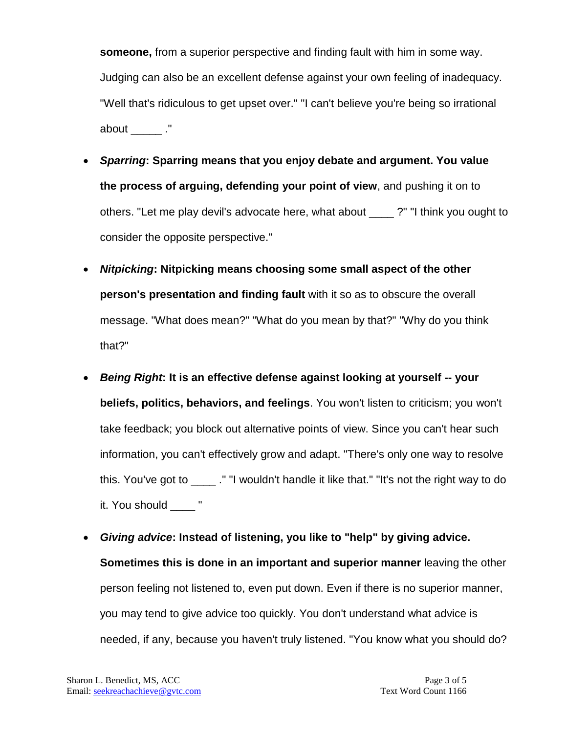**someone,** from a superior perspective and finding fault with him in some way. Judging can also be an excellent defense against your own feeling of inadequacy. "Well that's ridiculous to get upset over." "I can't believe you're being so irrational about ."

- *Sparring***: Sparring means that you enjoy debate and argument. You value the process of arguing, defending your point of view**, and pushing it on to others. "Let me play devil's advocate here, what about \_\_\_\_ ?" "I think you ought to consider the opposite perspective."
- *Nitpicking***: Nitpicking means choosing some small aspect of the other person's presentation and finding fault** with it so as to obscure the overall message. "What does mean?" "What do you mean by that?" "Why do you think that?"
- *Being Right***: It is an effective defense against looking at yourself -- your beliefs, politics, behaviors, and feelings**. You won't listen to criticism; you won't take feedback; you block out alternative points of view. Since you can't hear such information, you can't effectively grow and adapt. "There's only one way to resolve this. You've got to \_\_\_\_ ." "I wouldn't handle it like that." "It's not the right way to do it. You should \_\_\_\_ "
- *Giving advice***: Instead of listening, you like to "help" by giving advice. Sometimes this is done in an important and superior manner** leaving the other person feeling not listened to, even put down. Even if there is no superior manner, you may tend to give advice too quickly. You don't understand what advice is needed, if any, because you haven't truly listened. "You know what you should do?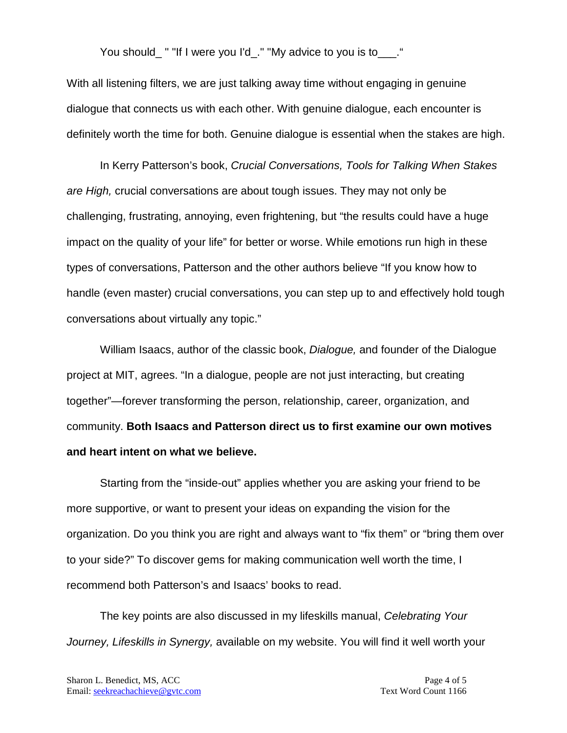You should\_" "If I were you I'd\_." "My advice to you is to\_\_\_."

With all listening filters, we are just talking away time without engaging in genuine dialogue that connects us with each other. With genuine dialogue, each encounter is definitely worth the time for both. Genuine dialogue is essential when the stakes are high.

In Kerry Patterson's book, *Crucial Conversations, Tools for Talking When Stakes are High,* crucial conversations are about tough issues. They may not only be challenging, frustrating, annoying, even frightening, but "the results could have a huge impact on the quality of your life" for better or worse. While emotions run high in these types of conversations, Patterson and the other authors believe "If you know how to handle (even master) crucial conversations, you can step up to and effectively hold tough conversations about virtually any topic."

William Isaacs, author of the classic book, *Dialogue,* and founder of the Dialogue project at MIT, agrees. "In a dialogue, people are not just interacting, but creating together"—forever transforming the person, relationship, career, organization, and community. **Both Isaacs and Patterson direct us to first examine our own motives and heart intent on what we believe.** 

Starting from the "inside-out" applies whether you are asking your friend to be more supportive, or want to present your ideas on expanding the vision for the organization. Do you think you are right and always want to "fix them" or "bring them over to your side?" To discover gems for making communication well worth the time, I recommend both Patterson's and Isaacs' books to read.

The key points are also discussed in my lifeskills manual, *Celebrating Your Journey, Lifeskills in Synergy,* available on my website. You will find it well worth your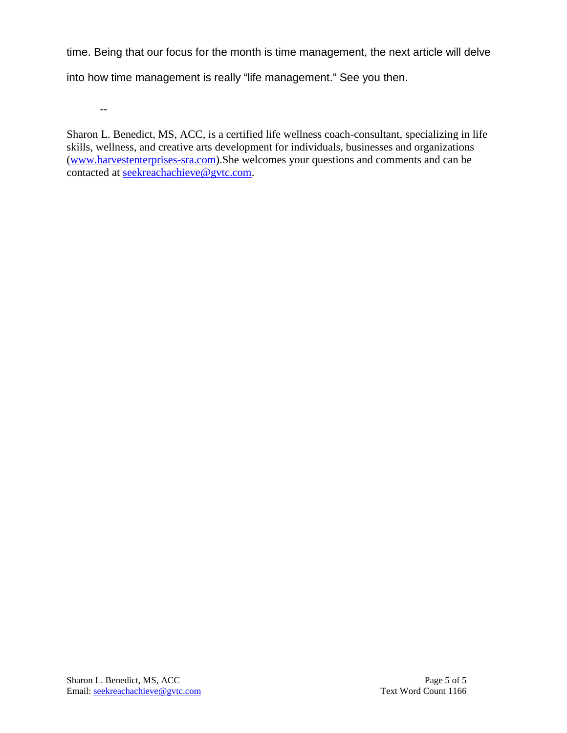time. Being that our focus for the month is time management, the next article will delve

into how time management is really "life management." See you then.

--

Sharon L. Benedict, MS, ACC, is a certified life wellness coach-consultant, specializing in life skills, wellness, and creative arts development for individuals, businesses and organizations [\(www.harvestenterprises-sra.com\)](http://www.harvestenterprises-sra.com/).She welcomes your questions and comments and can be contacted at [seekreachachieve@gvtc.com.](mailto:seekreachachieve@gvtc.com)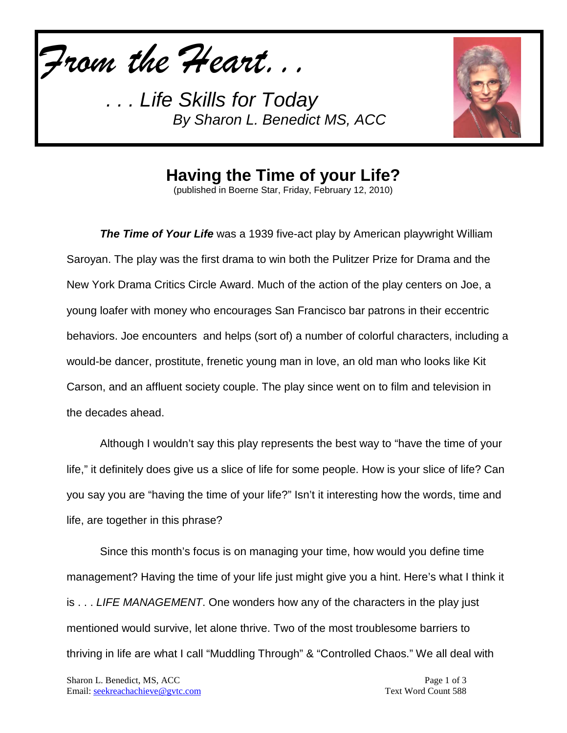*From the Heart...*



**Having the Time of your Life?**

(published in Boerne Star, Friday, February 12, 2010)

*The Time of Your Life* was a 1939 five-act play by American playwright William Saroyan. The play was the first drama to win both the Pulitzer Prize for Drama and the New York Drama Critics Circle Award. Much of the action of the play centers on Joe, a young loafer with money who encourages San Francisco bar patrons in their eccentric behaviors. Joe encounters and helps (sort of) a number of colorful characters, including a would-be dancer, prostitute, frenetic young man in love, an old man who looks like Kit Carson, and an affluent society couple. The play since went on to film and television in the decades ahead.

Although I wouldn't say this play represents the best way to "have the time of your life," it definitely does give us a slice of life for some people. How is your slice of life? Can you say you are "having the time of your life?" Isn't it interesting how the words, time and life, are together in this phrase?

Since this month's focus is on managing your time, how would you define time management? Having the time of your life just might give you a hint. Here's what I think it is . . . *LIFE MANAGEMENT*. One wonders how any of the characters in the play just mentioned would survive, let alone thrive. Two of the most troublesome barriers to thriving in life are what I call "Muddling Through" & "Controlled Chaos." We all deal with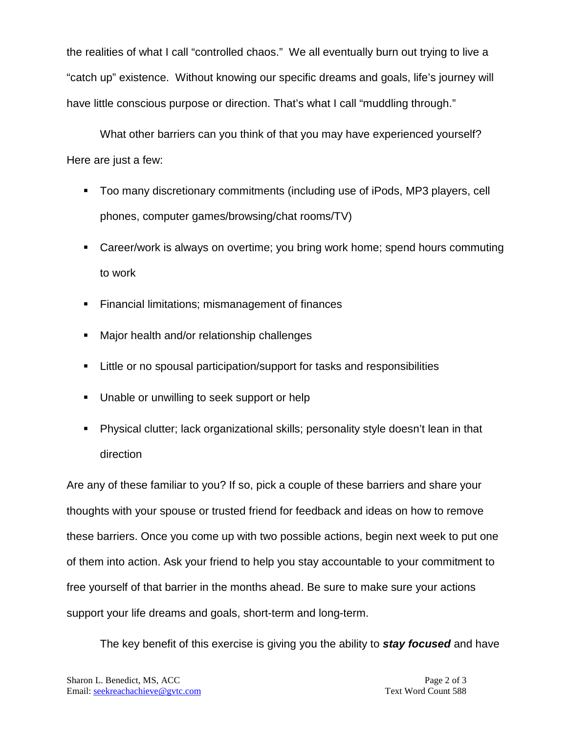the realities of what I call "controlled chaos." We all eventually burn out trying to live a "catch up" existence. Without knowing our specific dreams and goals, life's journey will have little conscious purpose or direction. That's what I call "muddling through."

What other barriers can you think of that you may have experienced yourself? Here are just a few:

- Too many discretionary commitments (including use of iPods, MP3 players, cell phones, computer games/browsing/chat rooms/TV)
- Career/work is always on overtime; you bring work home; spend hours commuting to work
- **Financial limitations; mismanagement of finances**
- **Major health and/or relationship challenges**
- **EXTED 10 FILE 10 Inconstruct** Filther or no spousal participation/support for tasks and responsibilities
- **Unable or unwilling to seek support or help**
- Physical clutter; lack organizational skills; personality style doesn't lean in that direction

Are any of these familiar to you? If so, pick a couple of these barriers and share your thoughts with your spouse or trusted friend for feedback and ideas on how to remove these barriers. Once you come up with two possible actions, begin next week to put one of them into action. Ask your friend to help you stay accountable to your commitment to free yourself of that barrier in the months ahead. Be sure to make sure your actions support your life dreams and goals, short-term and long-term.

The key benefit of this exercise is giving you the ability to *stay focused* and have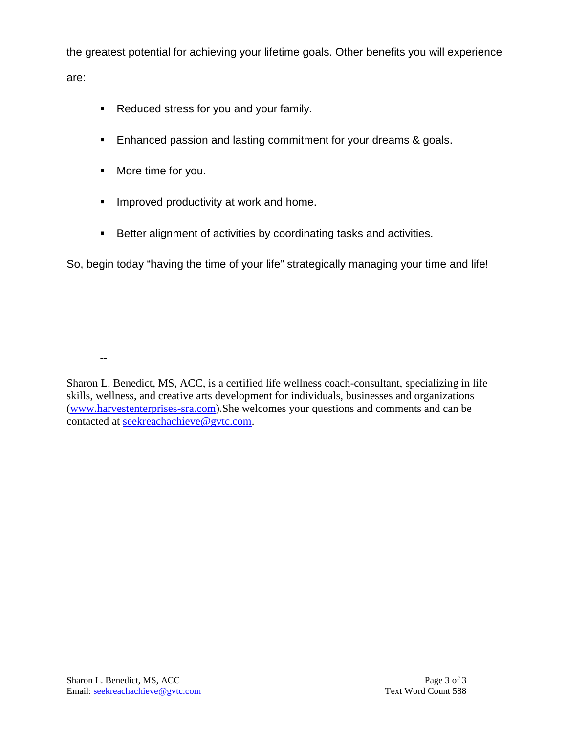the greatest potential for achieving your lifetime goals. Other benefits you will experience are:

- Reduced stress for you and your family.
- **Enhanced passion and lasting commitment for your dreams & goals.**
- **More time for you.**

--

- **Improved productivity at work and home.**
- **Better alignment of activities by coordinating tasks and activities.**

So, begin today "having the time of your life" strategically managing your time and life!

Sharon L. Benedict, MS, ACC, is a certified life wellness coach-consultant, specializing in life skills, wellness, and creative arts development for individuals, businesses and organizations [\(www.harvestenterprises-sra.com\)](http://www.harvestenterprises-sra.com/).She welcomes your questions and comments and can be contacted at [seekreachachieve@gvtc.com.](mailto:seekreachachieve@gvtc.com)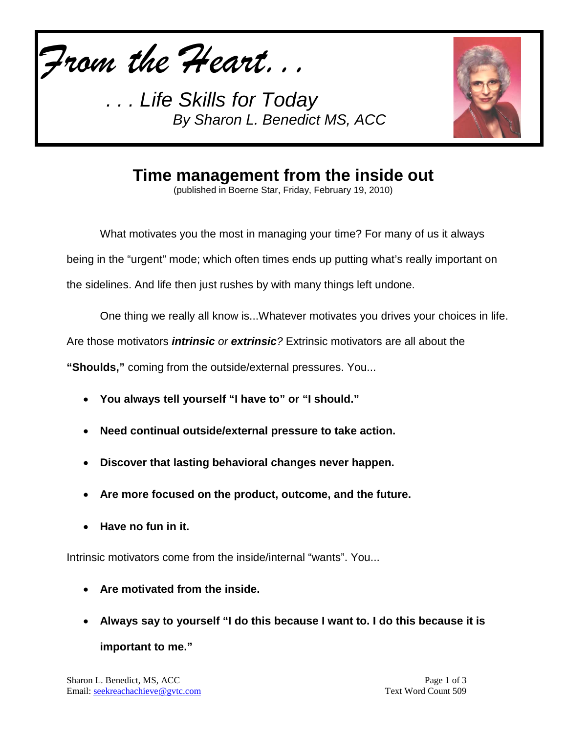*From the Heart...*



## **Time management from the inside out**

(published in Boerne Star, Friday, February 19, 2010)

What motivates you the most in managing your time? For many of us it always being in the "urgent" mode; which often times ends up putting what's really important on the sidelines. And life then just rushes by with many things left undone.

One thing we really all know is...Whatever motivates you drives your choices in life.

Are those motivators *intrinsic or extrinsic?* Extrinsic motivators are all about the

**"Shoulds,"** coming from the outside/external pressures. You...

- **You always tell yourself "I have to" or "I should."**
- **Need continual outside/external pressure to take action.**
- **Discover that lasting behavioral changes never happen.**
- **Are more focused on the product, outcome, and the future.**
- **Have no fun in it.**

Intrinsic motivators come from the inside/internal "wants". You...

- **Are motivated from the inside.**
- **Always say to yourself "I do this because I want to. I do this because it is important to me."**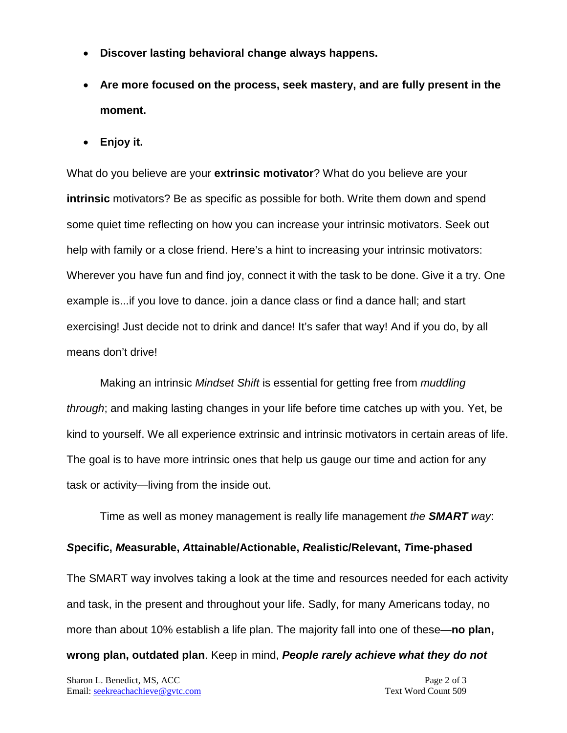- **Discover lasting behavioral change always happens.**
- **Are more focused on the process, seek mastery, and are fully present in the moment.**
- **Enjoy it.**

What do you believe are your **extrinsic motivator**? What do you believe are your **intrinsic** motivators? Be as specific as possible for both. Write them down and spend some quiet time reflecting on how you can increase your intrinsic motivators. Seek out help with family or a close friend. Here's a hint to increasing your intrinsic motivators: Wherever you have fun and find joy, connect it with the task to be done. Give it a try. One example is...if you love to dance. join a dance class or find a dance hall; and start exercising! Just decide not to drink and dance! It's safer that way! And if you do, by all means don't drive!

Making an intrinsic *Mindset Shift* is essential for getting free from *muddling through*; and making lasting changes in your life before time catches up with you. Yet, be kind to yourself. We all experience extrinsic and intrinsic motivators in certain areas of life. The goal is to have more intrinsic ones that help us gauge our time and action for any task or activity—living from the inside out.

Time as well as money management is really life management *the SMART way*:

## *S***pecific,** *M***easurable,** *A***ttainable/Actionable,** *R***ealistic/Relevant,** *T***ime-phased**

The SMART way involves taking a look at the time and resources needed for each activity and task, in the present and throughout your life. Sadly, for many Americans today, no more than about 10% establish a life plan. The majority fall into one of these—**no plan, wrong plan, outdated plan**. Keep in mind, *People rarely achieve what they do not*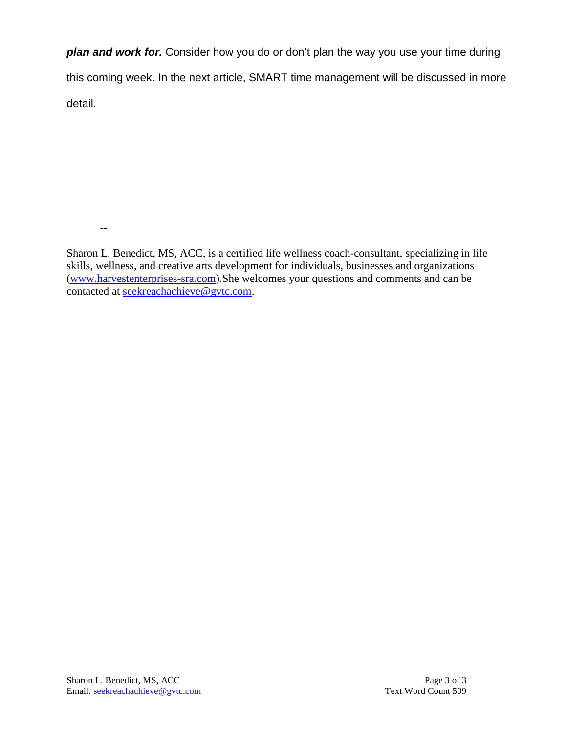*plan and work for.* Consider how you do or don't plan the way you use your time during this coming week. In the next article, SMART time management will be discussed in more detail.

Sharon L. Benedict, MS, ACC, is a certified life wellness coach-consultant, specializing in life skills, wellness, and creative arts development for individuals, businesses and organizations [\(www.harvestenterprises-sra.com\)](http://www.harvestenterprises-sra.com/).She welcomes your questions and comments and can be contacted at [seekreachachieve@gvtc.com.](mailto:seekreachachieve@gvtc.com)

--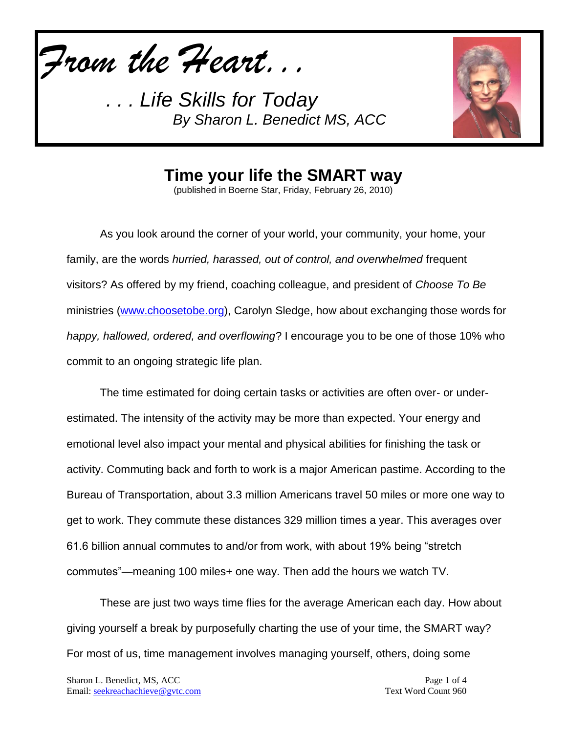*From the Heart...*



**Time your life the SMART way**

(published in Boerne Star, Friday, February 26, 2010)

As you look around the corner of your world, your community, your home, your family, are the words *hurried, harassed, out of control, and overwhelmed* frequent visitors? As offered by my friend, coaching colleague, and president of *Choose To Be*  ministries [\(www.choosetobe.org\)](http://www.choosetobe.org/), Carolyn Sledge, how about exchanging those words for *happy, hallowed, ordered, and overflowing*? I encourage you to be one of those 10% who commit to an ongoing strategic life plan.

The time estimated for doing certain tasks or activities are often over- or underestimated. The intensity of the activity may be more than expected. Your energy and emotional level also impact your mental and physical abilities for finishing the task or activity. Commuting back and forth to work is a major American pastime. According to the Bureau of Transportation, about 3.3 million Americans travel 50 miles or more one way to get to work. They commute these distances 329 million times a year. This averages over 61.6 billion annual commutes to and/or from work, with about 19% being "stretch commutes"—meaning 100 miles+ one way. Then add the hours we watch TV.

These are just two ways time flies for the average American each day. How about giving yourself a break by purposefully charting the use of your time, the SMART way? For most of us, time management involves managing yourself, others, doing some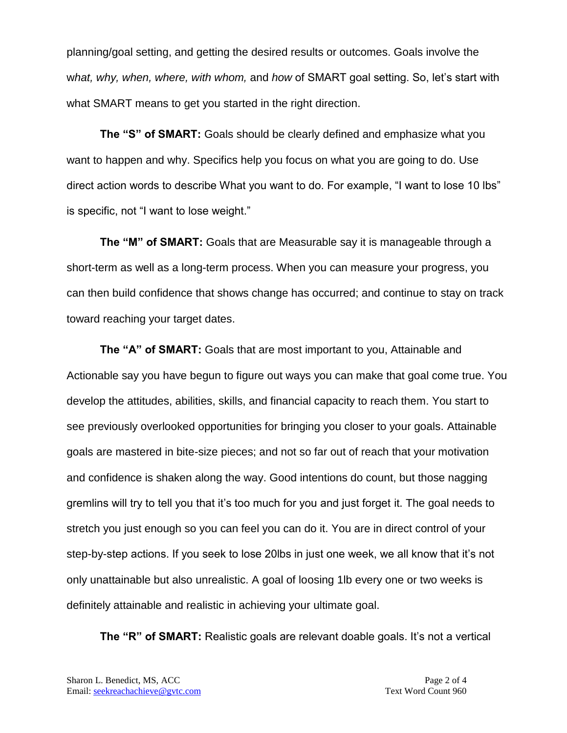planning/goal setting, and getting the desired results or outcomes. Goals involve the w*hat, why, when, where, with whom,* and *how* of SMART goal setting. So, let's start with what SMART means to get you started in the right direction.

**The "S" of SMART:** Goals should be clearly defined and emphasize what you want to happen and why. Specifics help you focus on what you are going to do. Use direct action words to describe What you want to do. For example, "I want to lose 10 lbs" is specific, not "I want to lose weight."

**The "M" of SMART:** Goals that are Measurable say it is manageable through a short-term as well as a long-term process. When you can measure your progress, you can then build confidence that shows change has occurred; and continue to stay on track toward reaching your target dates.

**The "A" of SMART:** Goals that are most important to you, Attainable and Actionable say you have begun to figure out ways you can make that goal come true. You develop the attitudes, abilities, skills, and financial capacity to reach them. You start to see previously overlooked opportunities for bringing you closer to your goals. Attainable goals are mastered in bite-size pieces; and not so far out of reach that your motivation and confidence is shaken along the way. Good intentions do count, but those nagging gremlins will try to tell you that it's too much for you and just forget it. The goal needs to stretch you just enough so you can feel you can do it. You are in direct control of your step-by-step actions. If you seek to lose 20lbs in just one week, we all know that it's not only unattainable but also unrealistic. A goal of loosing 1lb every one or two weeks is definitely attainable and realistic in achieving your ultimate goal.

**The "R" of SMART:** Realistic goals are relevant doable goals. It's not a vertical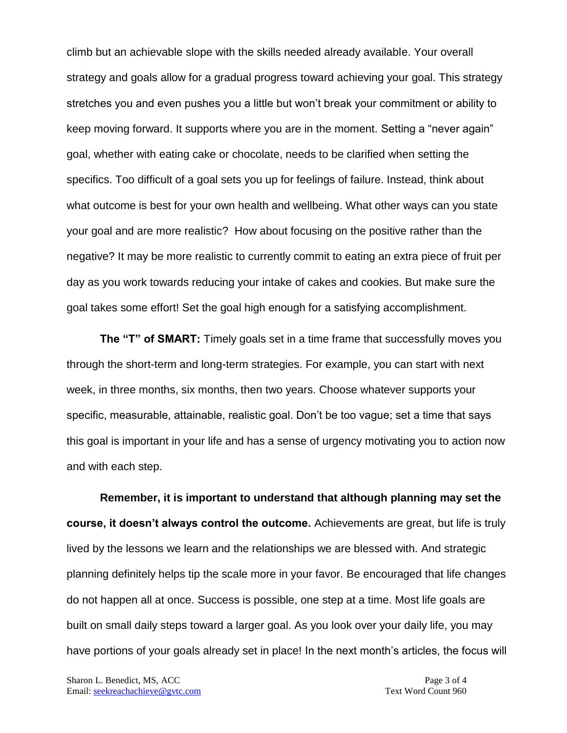climb but an achievable slope with the skills needed already available. Your overall strategy and goals allow for a gradual progress toward achieving your goal. This strategy stretches you and even pushes you a little but won't break your commitment or ability to keep moving forward. It supports where you are in the moment. Setting a "never again" goal, whether with eating cake or chocolate, needs to be clarified when setting the specifics. Too difficult of a goal sets you up for feelings of failure. Instead, think about what outcome is best for your own health and wellbeing. What other ways can you state your goal and are more realistic? How about focusing on the positive rather than the negative? It may be more realistic to currently commit to eating an extra piece of fruit per day as you work towards reducing your intake of cakes and cookies. But make sure the goal takes some effort! Set the goal high enough for a satisfying accomplishment.

**The "T" of SMART:** Timely goals set in a time frame that successfully moves you through the short-term and long-term strategies. For example, you can start with next week, in three months, six months, then two years. Choose whatever supports your specific, measurable, attainable, realistic goal. Don't be too vague; set a time that says this goal is important in your life and has a sense of urgency motivating you to action now and with each step.

**Remember, it is important to understand that although planning may set the course, it doesn't always control the outcome.** Achievements are great, but life is truly lived by the lessons we learn and the relationships we are blessed with. And strategic planning definitely helps tip the scale more in your favor. Be encouraged that life changes do not happen all at once. Success is possible, one step at a time. Most life goals are built on small daily steps toward a larger goal. As you look over your daily life, you may have portions of your goals already set in place! In the next month's articles, the focus will